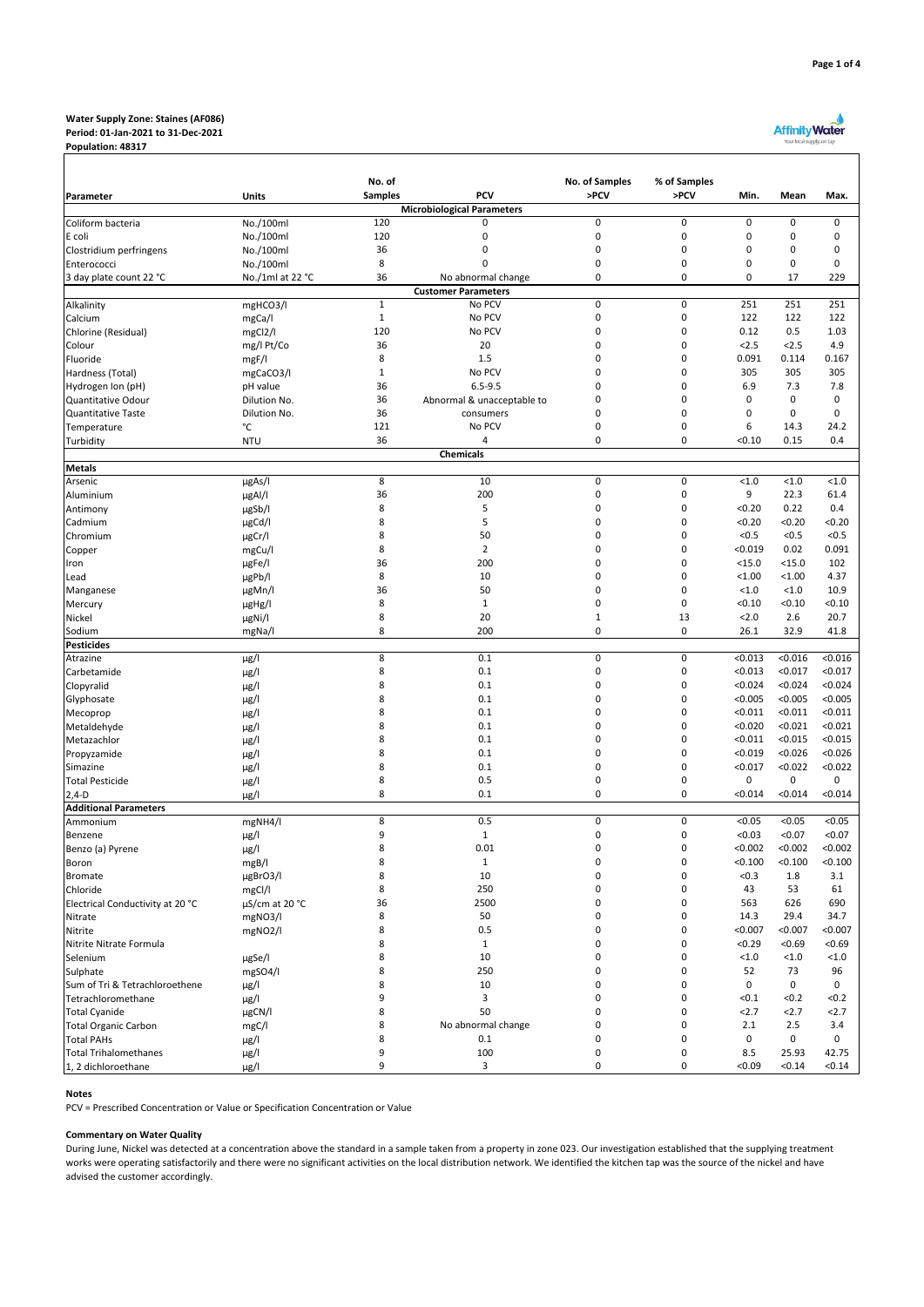### **Water Supply Zone: Staines (AF086) Period: 01-Jan-2021 to 31-Dec-2021 Population: 48317**

# Affinity Water

| Parameter                                  | Units                  | No. of<br><b>Samples</b> |                                      | No. of Samples   | % of Samples               |                    |                    |                    |
|--------------------------------------------|------------------------|--------------------------|--------------------------------------|------------------|----------------------------|--------------------|--------------------|--------------------|
|                                            |                        |                          | <b>PCV</b>                           | >PCV             | >PCV                       | Min.               | Mean               | Max.               |
|                                            |                        |                          | <b>Microbiological Parameters</b>    |                  |                            |                    |                    |                    |
| Coliform bacteria                          | No./100ml              | 120                      | 0                                    | $\mathbf 0$      | $\pmb{0}$                  | $\pmb{0}$          | 0                  | $\mathsf 0$        |
| E coli                                     | No./100ml              | 120                      | 0                                    | $\mathbf 0$      | $\mathbf 0$                | $\mathsf 0$        | 0                  | $\mathsf 0$        |
| Clostridium perfringens                    | No./100ml              | 36                       | 0                                    | $\mathbf 0$      | $\mathbf 0$                | 0                  | 0                  | 0                  |
| Enterococci                                | No./100ml              | 8                        | $\Omega$                             | 0                | 0                          | 0                  | 0                  | 0                  |
| 3 day plate count 22 °C                    | No./1ml at 22 °C       | 36                       | No abnormal change                   | 0                | 0                          | 0                  | 17                 | 229                |
|                                            |                        | $\overline{1}$           | <b>Customer Parameters</b><br>No PCV | $\mathbf 0$      | $\mathbf 0$                | 251                | 251                | 251                |
| Alkalinity<br>Calcium                      | mgHCO3/l               | $\mathbf 1$              | No PCV                               | $\mathbf 0$      | $\mathbf 0$                | 122                | 122                | 122                |
| Chlorine (Residual)                        | mgCa/l<br>mgCl2/l      | 120                      | No PCV                               | 0                | $\mathbf 0$                | 0.12               | 0.5                | 1.03               |
| Colour                                     | mg/l Pt/Co             | 36                       | 20                                   | 0                | 0                          | 2.5                | 2.5                | 4.9                |
| Fluoride                                   | mgF/I                  | 8                        | 1.5                                  | 0                | 0                          | 0.091              | 0.114              | 0.167              |
| Hardness (Total)                           | mgCaCO3/I              | $\mathbf 1$              | No PCV                               | 0                | 0                          | 305                | 305                | 305                |
| Hydrogen Ion (pH)                          | pH value               | 36                       | $6.5 - 9.5$                          | 0                | $\mathbf 0$                | 6.9                | 7.3                | 7.8                |
| Quantitative Odour                         | Dilution No.           | 36                       | Abnormal & unacceptable to           | 0                | $\mathbf 0$                | $\mathsf 0$        | $\pmb{0}$          | 0                  |
| <b>Quantitative Taste</b>                  | Dilution No.           | 36                       | consumers                            | $\mathbf 0$      | $\mathbf 0$                | 0                  | 0                  | $\mathsf 0$        |
| Temperature                                | °C                     | 121                      | No PCV                               | 0                | 0                          | 6                  | 14.3               | 24.2               |
| Turbidity                                  | <b>NTU</b>             | 36                       | 4                                    | 0                | $\mathbf 0$                | < 0.10             | 0.15               | 0.4                |
|                                            |                        |                          | <b>Chemicals</b>                     |                  |                            |                    |                    |                    |
| <b>Metals</b>                              |                        |                          |                                      |                  |                            |                    |                    |                    |
| Arsenic                                    | µgAs/l                 | 8                        | 10                                   | $\mathbf 0$      | $\mathbf 0$                | < 1.0              | < 1.0              | < 1.0              |
| Aluminium                                  | µgAl/l                 | 36                       | 200                                  | $\mathbf 0$      | $\mathbf 0$                | 9                  | 22.3               | 61.4               |
| Antimony                                   | µgSb/l                 | 8                        | 5                                    | 0                | $\mathbf 0$                | < 0.20             | 0.22               | 0.4                |
| Cadmium<br>Chromium                        | µgCd/l                 | 8<br>8                   | 5<br>50                              | 0<br>0           | 0<br>0                     | < 0.20<br>< 0.5    | < 0.20<br>< 0.5    | < 0.20<br>< 0.5    |
| Copper                                     | µgCr/l<br>mgCu/l       | 8                        | $\overline{2}$                       | 0                | 0                          | < 0.019            | 0.02               | 0.091              |
| Iron                                       | µgFe/l                 | 36                       | 200                                  | 0                | $\mathbf 0$                | $<$ 15.0           | $<$ 15.0           | 102                |
| Lead                                       | µgPb/l                 | 8                        | 10                                   | 0                | $\mathbf 0$                | < 1.00             | < 1.00             | 4.37               |
| Manganese                                  | ugMn/l                 | 36                       | 50                                   | $\mathbf 0$      | $\mathbf 0$                | < 1.0              | < 1.0              | 10.9               |
| Mercury                                    | µgHg/l                 | 8                        | $\mathbf 1$                          | 0                | 0                          | < 0.10             | < 0.10             | < 0.10             |
| Nickel                                     | µgNi/l                 | 8                        | 20                                   | $\mathbf{1}$     | 13                         | 2.0                | 2.6                | 20.7               |
| Sodium                                     | mgNa/l                 | 8                        | 200                                  | $\mathbf 0$      | $\mathbf 0$                | 26.1               | 32.9               | 41.8               |
| <b>Pesticides</b>                          |                        |                          |                                      |                  |                            |                    |                    |                    |
| Atrazine                                   | $\mu$ g/l              | 8                        | 0.1                                  | $\mathbf 0$      | $\mathbf 0$                | < 0.013            | < 0.016            | < 0.016            |
| Carbetamide                                | $\mu$ g/l              | 8                        | 0.1                                  | $\mathbf 0$      | $\mathbf 0$                | < 0.013            | < 0.017            | < 0.017            |
| Clopyralid                                 | $\mu$ g/l              | 8                        | 0.1                                  | 0                | $\mathbf 0$                | < 0.024            | < 0.024            | < 0.024            |
| Glyphosate                                 | $\mu$ g/l              | 8                        | 0.1                                  | 0                | $\mathbf 0$                | < 0.005            | < 0.005            | < 0.005            |
| Mecoprop                                   | $\mu$ g/l              | 8                        | 0.1                                  | 0                | 0                          | < 0.011            | < 0.011            | < 0.011            |
| Metaldehyde                                | $\mu$ g/l              | 8                        | 0.1                                  | 0                | $\mathbf 0$                | < 0.020            | < 0.021            | < 0.021            |
| Metazachlor                                | $\mu$ g/l              | 8<br>8                   | 0.1                                  | 0<br>0           | $\mathbf 0$<br>$\mathbf 0$ | < 0.011            | < 0.015            | < 0.015<br>< 0.026 |
| Propyzamide<br>Simazine                    | $\mu$ g/l              | 8                        | 0.1<br>0.1                           | 0                | 0                          | < 0.019<br>< 0.017 | < 0.026<br>< 0.022 | < 0.022            |
| <b>Total Pesticide</b>                     | $\mu$ g/l<br>$\mu$ g/l | 8                        | 0.5                                  | 0                | 0                          | 0                  | 0                  | $\mathsf 0$        |
| $2,4-D$                                    | $\mu$ g/l              | 8                        | 0.1                                  | 0                | 0                          | < 0.014            | < 0.014            | < 0.014            |
| <b>Additional Parameters</b>               |                        |                          |                                      |                  |                            |                    |                    |                    |
| Ammonium                                   | mgNH4/l                | 8                        | 0.5                                  | $\mathbf 0$      | $\mathbf 0$                | < 0.05             | < 0.05             | < 0.05             |
| Benzene                                    | $\mu$ g/l              | 9                        | $1\,$                                | $\mathbf 0$      | $\mathbf 0$                | < 0.03             | < 0.07             | < 0.07             |
| Benzo (a) Pyrene                           | $\mu$ g/l              | 8                        | 0.01                                 | 0                | 0                          | < 0.002            | < 0.002            | < 0.002            |
| Boron                                      | mgB/l                  | 8                        | $1\,$                                | 0                | 0                          | < 0.100            | < 0.100            | < 0.100            |
| <b>Bromate</b>                             | µgBrO3/I               | 8                        | 10                                   | 0                | $\pmb{0}$                  | < 0.3              | 1.8                | 3.1                |
| Chloride                                   | mgCl/l                 | 8                        | 250                                  | $\pmb{0}$        | $\pmb{0}$                  | 43                 | 53                 | 61                 |
| Electrical Conductivity at 20 °C           | µS/cm at 20 °C         | 36                       | 2500                                 | $\mathbf 0$      | $\mathbf 0$                | 563                | 626                | 690                |
| Nitrate                                    | mgNO3/l                | 8                        | 50                                   | $\mathbf 0$      | $\mathbf 0$                | 14.3               | 29.4               | 34.7               |
| Nitrite                                    | mgNO2/l                | 8                        | 0.5                                  | $\mathbf 0$      | $\mathbf 0$                | < 0.007            | < 0.007            | < 0.007            |
| Nitrite Nitrate Formula                    |                        | 8                        | $\mathbf{1}$                         | 0                | 0                          | < 0.29             | < 0.69             | < 0.69             |
| Selenium                                   | µgSe/l                 | 8                        | 10                                   | 0                | 0                          | < 1.0              | < 1.0              | < 1.0              |
| Sulphate                                   | mgSO4/I                | 8                        | 250                                  | 0                | 0                          | 52                 | 73                 | 96                 |
| Sum of Tri & Tetrachloroethene             | $\mu$ g/l              | 8<br>9                   | 10<br>3                              | $\mathbf 0$<br>0 | 0<br>0                     | 0<br>< 0.1         | 0<br>< 0.2         | 0                  |
| Tetrachloromethane<br><b>Total Cyanide</b> | $\mu$ g/l<br>µgCN/I    | 8                        | 50                                   | 0                | $\mathbf 0$                | 2.7                | 2.7                | < 0.2<br>2.7       |
| <b>Total Organic Carbon</b>                | mgC/I                  | 8                        | No abnormal change                   | 0                | 0                          | 2.1                | 2.5                | 3.4                |
| <b>Total PAHs</b>                          | $\mu\text{g/l}$        | 8                        | 0.1                                  | 0                | $\mathbf 0$                | 0                  | 0                  | 0                  |
| <b>Total Trihalomethanes</b>               | µg/l                   | 9                        | 100                                  | 0                | 0                          | 8.5                | 25.93              | 42.75              |
| 1, 2 dichloroethane                        | µg/l                   | 9                        | 3                                    | $\mathbf 0$      | 0                          | < 0.09             | < 0.14             | < 0.14             |

# **Notes**

PCV = Prescribed Concentration or Value or Specification Concentration or Value

#### **Commentary on Water Quality**

During June, Nickel was detected at a concentration above the standard in a sample taken from a property in zone 023. Our investigation established that the supplying treatment works were operating satisfactorily and there were no significant activities on the local distribution network. We identified the kitchen tap was the source of the nickel and have advised the customer accordingly.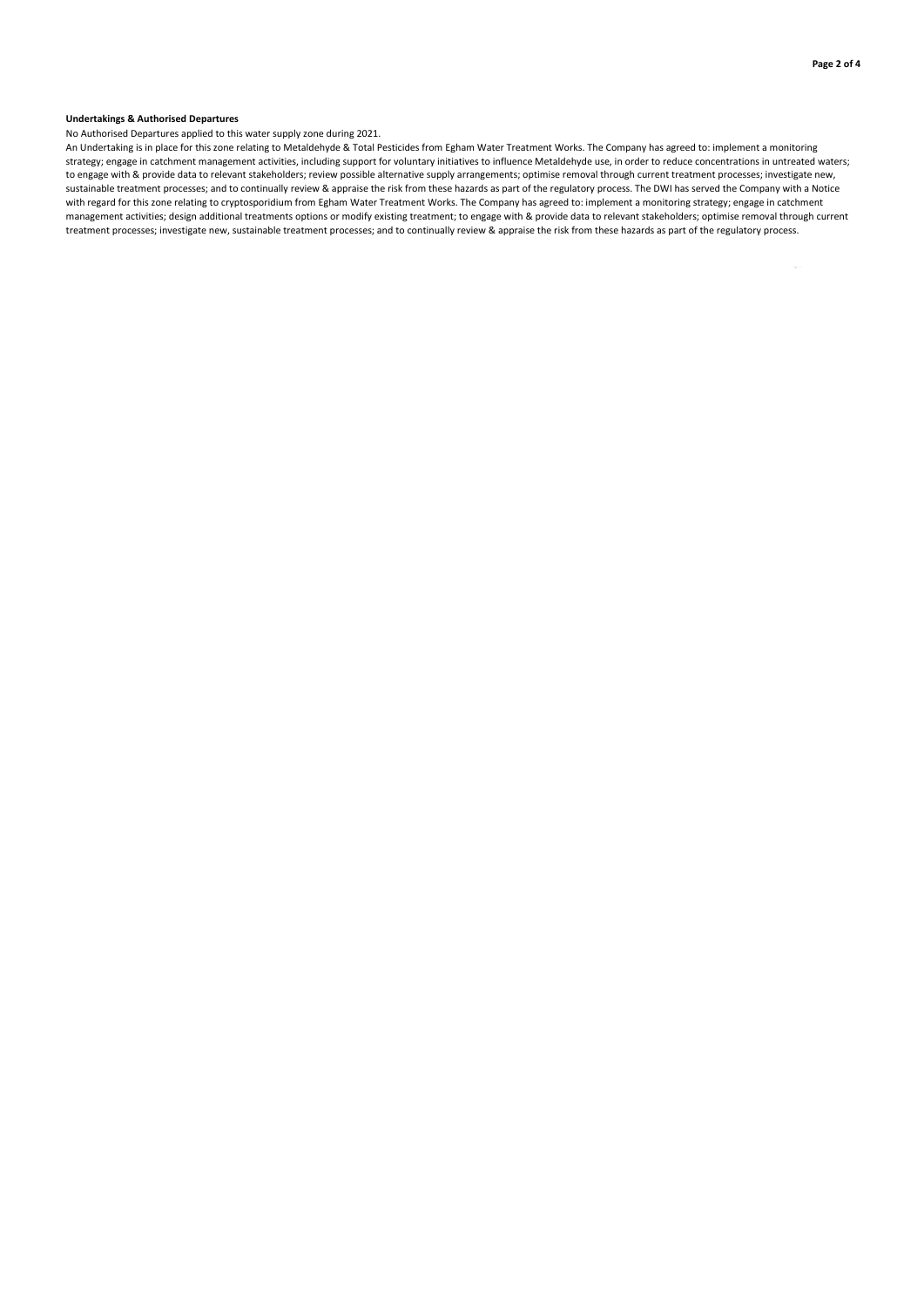## **Undertakings & Authorised Departures**

No Authorised Departures applied to this water supply zone during 2021.

An Undertaking is in place for this zone relating to Metaldehyde & Total Pesticides from Egham Water Treatment Works. The Company has agreed to: implement a monitoring strategy; engage in catchment management activities, including support for voluntary initiatives to influence Metaldehyde use, in order to reduce concentrations in untreated waters; to engage with & provide data to relevant stakeholders; review possible alternative supply arrangements; optimise removal through current treatment processes; investigate new, sustainable treatment processes; and to continually review & appraise the risk from these hazards as part of the regulatory process. The DWI has served the Company with a Notice with regard for this zone relating to cryptosporidium from Egham Water Treatment Works. The Company has agreed to: implement a monitoring strategy; engage in catchment management activities; design additional treatments options or modify existing treatment; to engage with & provide data to relevant stakeholders; optimise removal through current treatment processes; investigate new, sustainable treatment processes; and to continually review & appraise the risk from these hazards as part of the regulatory process.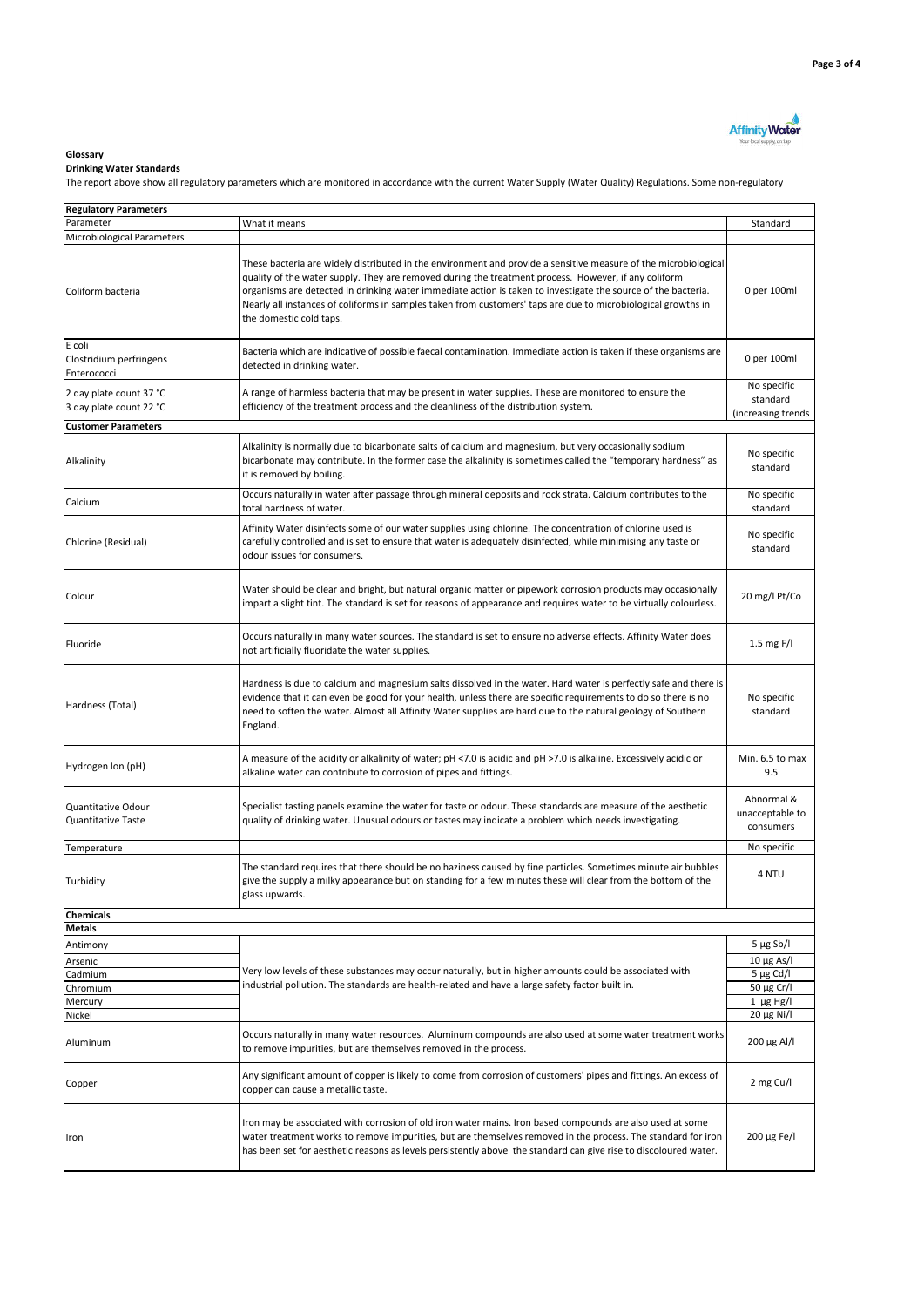

## **Glossary**

## **Drinking Water Standards**

The report above show all regulatory parameters which are monitored in accordance with the current Water Supply (Water Quality) Regulations. Some non-regulatory

| <b>Regulatory Parameters</b>                       |                                                                                                                                                                                                                                                                                                                                                                   |                                               |  |
|----------------------------------------------------|-------------------------------------------------------------------------------------------------------------------------------------------------------------------------------------------------------------------------------------------------------------------------------------------------------------------------------------------------------------------|-----------------------------------------------|--|
| Parameter                                          | What it means                                                                                                                                                                                                                                                                                                                                                     | Standard                                      |  |
|                                                    |                                                                                                                                                                                                                                                                                                                                                                   |                                               |  |
| Microbiological Parameters                         | These bacteria are widely distributed in the environment and provide a sensitive measure of the microbiological                                                                                                                                                                                                                                                   |                                               |  |
| Coliform bacteria                                  | quality of the water supply. They are removed during the treatment process. However, if any coliform<br>organisms are detected in drinking water immediate action is taken to investigate the source of the bacteria.<br>Nearly all instances of coliforms in samples taken from customers' taps are due to microbiological growths in<br>the domestic cold taps. | 0 per 100ml                                   |  |
| E coli<br>Clostridium perfringens<br>Enterococci   | Bacteria which are indicative of possible faecal contamination. Immediate action is taken if these organisms are<br>detected in drinking water.                                                                                                                                                                                                                   |                                               |  |
| 2 day plate count 37 °C<br>3 day plate count 22 °C | A range of harmless bacteria that may be present in water supplies. These are monitored to ensure the<br>efficiency of the treatment process and the cleanliness of the distribution system.                                                                                                                                                                      | No specific<br>standard<br>(increasing trends |  |
| <b>Customer Parameters</b>                         |                                                                                                                                                                                                                                                                                                                                                                   |                                               |  |
| Alkalinity                                         | Alkalinity is normally due to bicarbonate salts of calcium and magnesium, but very occasionally sodium<br>bicarbonate may contribute. In the former case the alkalinity is sometimes called the "temporary hardness" as<br>it is removed by boiling.                                                                                                              | No specific<br>standard                       |  |
| Calcium                                            | Occurs naturally in water after passage through mineral deposits and rock strata. Calcium contributes to the<br>total hardness of water.                                                                                                                                                                                                                          | No specific<br>standard                       |  |
| Chlorine (Residual)                                | Affinity Water disinfects some of our water supplies using chlorine. The concentration of chlorine used is<br>carefully controlled and is set to ensure that water is adequately disinfected, while minimising any taste or<br>odour issues for consumers.                                                                                                        | No specific<br>standard                       |  |
| Colour                                             | Water should be clear and bright, but natural organic matter or pipework corrosion products may occasionally<br>impart a slight tint. The standard is set for reasons of appearance and requires water to be virtually colourless.                                                                                                                                | 20 mg/l Pt/Co                                 |  |
| Fluoride                                           | Occurs naturally in many water sources. The standard is set to ensure no adverse effects. Affinity Water does<br>not artificially fluoridate the water supplies.                                                                                                                                                                                                  | 1.5 mg $F/I$                                  |  |
| Hardness (Total)                                   | Hardness is due to calcium and magnesium salts dissolved in the water. Hard water is perfectly safe and there is<br>evidence that it can even be good for your health, unless there are specific requirements to do so there is no<br>need to soften the water. Almost all Affinity Water supplies are hard due to the natural geology of Southern<br>England.    | No specific<br>standard                       |  |
| Hydrogen Ion (pH)                                  | A measure of the acidity or alkalinity of water; pH <7.0 is acidic and pH >7.0 is alkaline. Excessively acidic or<br>alkaline water can contribute to corrosion of pipes and fittings.                                                                                                                                                                            | Min. 6.5 to max<br>9.5                        |  |
| Quantitative Odour<br>Quantitative Taste           | Specialist tasting panels examine the water for taste or odour. These standards are measure of the aesthetic<br>quality of drinking water. Unusual odours or tastes may indicate a problem which needs investigating.                                                                                                                                             | Abnormal &<br>unacceptable to<br>consumers    |  |
| Temperature                                        |                                                                                                                                                                                                                                                                                                                                                                   | No specific                                   |  |
| Turbidity                                          | The standard requires that there should be no haziness caused by fine particles. Sometimes minute air bubbles<br>give the supply a milky appearance but on standing for a few minutes these will clear from the bottom of the<br>glass upwards.                                                                                                                   | 4 NTU                                         |  |
| Chemicals                                          |                                                                                                                                                                                                                                                                                                                                                                   |                                               |  |
| <b>Metals</b>                                      |                                                                                                                                                                                                                                                                                                                                                                   |                                               |  |
| Antimony                                           |                                                                                                                                                                                                                                                                                                                                                                   | $5 \mu g Sb/l$                                |  |
| Arsenic                                            |                                                                                                                                                                                                                                                                                                                                                                   | $10 \mu g$ As/I                               |  |
| Cadmium                                            | Very low levels of these substances may occur naturally, but in higher amounts could be associated with                                                                                                                                                                                                                                                           | $5 \mu g$ Cd/I                                |  |
| Chromium                                           | industrial pollution. The standards are health-related and have a large safety factor built in.                                                                                                                                                                                                                                                                   | 50 μg Cr/l                                    |  |
| Mercury                                            |                                                                                                                                                                                                                                                                                                                                                                   | $1 \mu g Hg/I$                                |  |
| Nickel                                             |                                                                                                                                                                                                                                                                                                                                                                   | 20 μg Ni/l                                    |  |
| Aluminum                                           | Occurs naturally in many water resources. Aluminum compounds are also used at some water treatment works<br>to remove impurities, but are themselves removed in the process.                                                                                                                                                                                      | 200 μg Al/l                                   |  |
| Copper                                             | Any significant amount of copper is likely to come from corrosion of customers' pipes and fittings. An excess of<br>copper can cause a metallic taste.                                                                                                                                                                                                            | 2 mg Cu/l                                     |  |
| Iron                                               | Iron may be associated with corrosion of old iron water mains. Iron based compounds are also used at some<br>water treatment works to remove impurities, but are themselves removed in the process. The standard for iron<br>has been set for aesthetic reasons as levels persistently above the standard can give rise to discoloured water.                     | 200 μg Fe/l                                   |  |